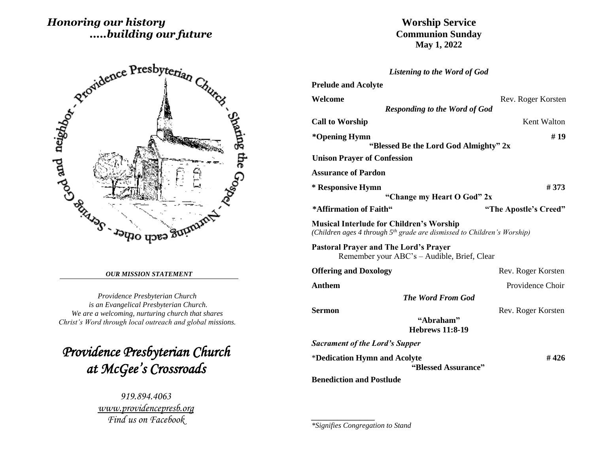# *Honoring our history .....building our future*



#### *OUR MISSION STATEMENT*

*Providence Presbyterian Church is an Evangelical Presbyterian Church. We are a welcoming, nurturing church that shares Christ's Word through local outreach and global missions.*

*Providence Presbyterian Church at McGee's Crossroads* 

> *919.894.4063 [www.providencepresb.org](http://www.providencepresb.org/) Find us on Facebook*

**Worship Service Communion Sunday May 1, 2022**

| <b>Listening to the Word of God</b>                                                                                                    |                              |
|----------------------------------------------------------------------------------------------------------------------------------------|------------------------------|
| <b>Prelude and Acolyte</b>                                                                                                             |                              |
| Welcome                                                                                                                                | Rev. Roger Korsten           |
| <b>Responding to the Word of God</b>                                                                                                   |                              |
| <b>Call to Worship</b>                                                                                                                 | Kent Walton                  |
| *Opening Hymn<br>"Blessed Be the Lord God Almighty" 2x                                                                                 | #19                          |
| <b>Unison Prayer of Confession</b>                                                                                                     |                              |
|                                                                                                                                        |                              |
| <b>Assurance of Pardon</b>                                                                                                             |                              |
| * Responsive Hymn                                                                                                                      | #373                         |
| "Change my Heart O God" 2x                                                                                                             |                              |
| *Affirmation of Faith"                                                                                                                 | "The Apostle's Creed"        |
| <b>Musical Interlude for Children's Worship</b><br>(Children ages 4 through 5 <sup>th</sup> grade are dismissed to Children's Worship) |                              |
| <b>Pastoral Prayer and The Lord's Prayer</b><br>Remember your ABC's - Audible, Brief, Clear                                            |                              |
| <b>Offering and Doxology</b>                                                                                                           | Rev. Roger Korsten           |
| Anthem                                                                                                                                 | Providence Choir             |
| <b>The Word From God</b>                                                                                                               |                              |
| Sermon                                                                                                                                 | Rev. Roger Korsten           |
| "Abraham"<br><b>Hebrews 11:8-19</b>                                                                                                    |                              |
| <b>Sacrament of the Lord's Supper</b>                                                                                                  |                              |
| *Dedication Hymn and Acolyte                                                                                                           | # 426<br>"Blessed Assurance" |
| <b>Benediction and Postlude</b>                                                                                                        |                              |

*\*Signifies Congregation to Stand*

*\_\_\_\_\_\_\_\_\_\_\_\_\_\_\_\_\_*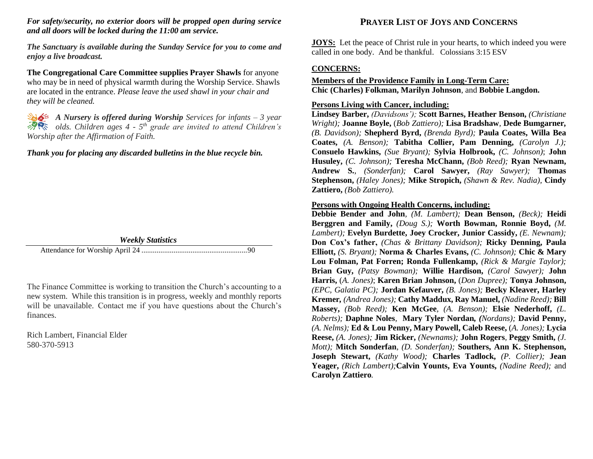### *For safety/security, no exterior doors will be propped open during service and all doors will be locked during the 11:00 am service.*

*The Sanctuary is available during the Sunday Service for you to come and enjoy a live broadcast.*

**The Congregational Care Committee supplies Prayer Shawls** for anyone who may be in need of physical warmth during the Worship Service. Shawls are located in the entrance. *Please leave the used shawl in your chair and they will be cleaned.*

*A Nursery is offered during Worship Services for infants – 3 year olds. Children ages 4 - 5 th grade are invited to attend Children's Worship after the Affirmation of Faith.*

### *Thank you for placing any discarded bulletins in the blue recycle bin.*



The Finance Committee is working to transition the Church's accounting to a new system. While this transition is in progress, weekly and monthly reports will be unavailable. Contact me if you have questions about the Church's finances.

Rich Lambert, Financial Elder 580-370-5913

## **PRAYER LIST OF JOYS AND CONCERNS**

**JOYS:** Let the peace of Christ rule in your hearts, to which indeed you were called in one body. And be thankful. Colossians 3:15 ESV

### **CONCERNS:**

## **Members of the Providence Family in Long-Term Care: Chic (Charles) Folkman, Marilyn Johnson**, and **Bobbie Langdon.**

#### **Persons Living with Cancer, including:**

**Lindsey Barber,** *(Davidsons');* **Scott Barnes, Heather Benson,** *(Christiane Wright);* **Joanne Boyle,** (*Bob Zattiero);* **Lisa Bradshaw***,* **Dede Bumgarner***, (B. Davidson);* **Shepherd Byrd,** *(Brenda Byrd);* **Paula Coates, Willa Bea Coates,** *(A. Benson);* **Tabitha Collier, Pam Denning,** *(Carolyn J.);* **Consuelo Hawkins,** *(Sue Bryant);* **Sylvia Holbrook,** *(C. Johnson)*; **John Husuley,** *(C. Johnson);* **Teresha McChann,** *(Bob Reed);* **Ryan Newnam, Andrew S.**, *(Sonderfan);* **Carol Sawyer,** *(Ray Sawyer);* **Thomas Stephenson,** *(Haley Jones);* **Mike Stropich,** *(Shawn & Rev. Nadia),* **Cindy Zattiero,** *(Bob Zattiero).*

#### **Persons with Ongoing Health Concerns, including:**

**Debbie Bender and John***, (M. Lambert);* **Dean Benson,** *(Beck);* **Heidi Berggren and Family,** *(Doug S.);* **Worth Bowman, Ronnie Boyd,** *(M. Lambert);* **Evelyn Burdette, Joey Crocker, Junior Cassidy,** *(E. Newnam);* **Don Cox's father,** *(Chas & Brittany Davidson);* **Ricky Denning, Paula Elliott,** *(S. Bryant);* **Norma & Charles Evans,** *(C. Johnson);* **Chic & Mary Lou Folman, Pat Forren; Ronda Fullenkamp,** *(Rick & Margie Taylor);*  **Brian Guy,** *(Patsy Bowman);* **Willie Hardison,** *(Carol Sawyer);* **John Harris,** (*A. Jones)*; **Karen Brian Johnson,** (*Don Dupree);* **Tonya Johnson,**  *(EPC, Galatia PC);* **Jordan Kefauver,** *(B. Jones);* **Becky Kleaver, Harley Kremer***, (Andrea Jones);* **Cathy Maddux, Ray Manuel,** *(Nadine Reed);* **Bill Massey,** *(Bob Reed);* **Ken McGee***, (A. Benson);* **Elsie Nederhoff,** *(L. Roberts);* **Daphne Noles***,* **Mary Tyler Nordan***, (Nordans);* **David Penny,** *(A. Nelms);* **Ed & Lou Penny, Mary Powell, Caleb Reese,** (*A. Jones);* **Lycia Reese,** *(A. Jones);* **Jim Ricker,** *(Newnams);* **John Rogers***,* **Peggy Smith,** *(J. Mott);* **Mitch Sonderfan***, (D. Sonderfan);* **Southers, Ann K. Stephenson, Joseph Stewart,** *(Kathy Wood);* **Charles Tadlock,** *(P. Collier);* **Jean Yeager,** *(Rich Lambert);***Calvin Younts, Eva Younts,** *(Nadine Reed);* and **Carolyn Zattiero***.*